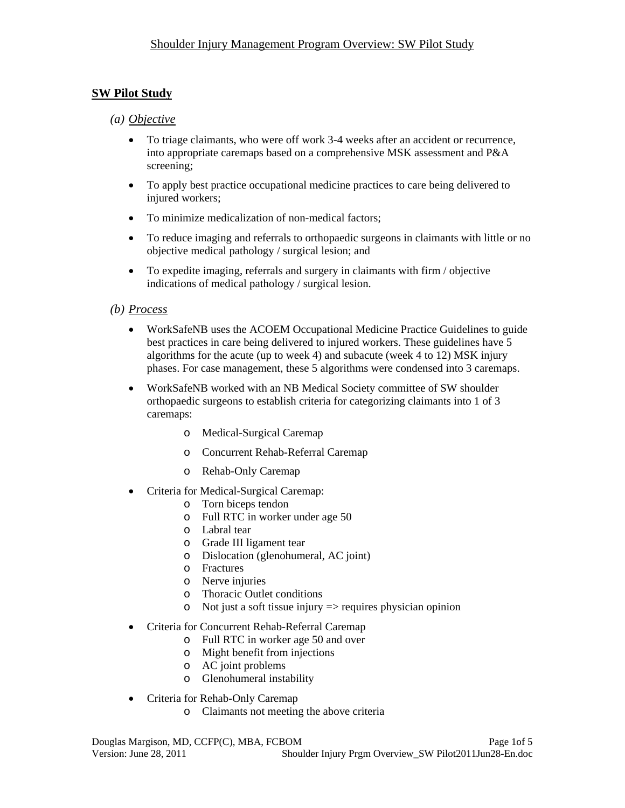# **SW Pilot Study**

### *(a) Objective*

- To triage claimants, who were off work 3-4 weeks after an accident or recurrence, into appropriate caremaps based on a comprehensive MSK assessment and P&A screening;
- To apply best practice occupational medicine practices to care being delivered to injured workers;
- To minimize medicalization of non-medical factors:
- To reduce imaging and referrals to orthopaedic surgeons in claimants with little or no objective medical pathology / surgical lesion; and
- To expedite imaging, referrals and surgery in claimants with firm / objective indications of medical pathology / surgical lesion.

### *(b) Process*

- WorkSafeNB uses the ACOEM Occupational Medicine Practice Guidelines to guide best practices in care being delivered to injured workers. These guidelines have 5 algorithms for the acute (up to week 4) and subacute (week 4 to 12) MSK injury phases. For case management, these 5 algorithms were condensed into 3 caremaps.
- WorkSafeNB worked with an NB Medical Society committee of SW shoulder orthopaedic surgeons to establish criteria for categorizing claimants into 1 of 3 caremaps:
	- o Medical-Surgical Caremap
	- o Concurrent Rehab-Referral Caremap
	- o Rehab-Only Caremap
- Criteria for Medical-Surgical Caremap:
	- o Torn biceps tendon
	- o Full RTC in worker under age 50
	- o Labral tear
	- o Grade III ligament tear
	- o Dislocation (glenohumeral, AC joint)
	- o Fractures
	- o Nerve injuries
	- o Thoracic Outlet conditions
	- $\circ$  Not just a soft tissue injury  $\Rightarrow$  requires physician opinion
- Criteria for Concurrent Rehab-Referral Caremap
	- o Full RTC in worker age 50 and over
	- o Might benefit from injections
	- o AC joint problems
	- o Glenohumeral instability
- Criteria for Rehab-Only Caremap
	- o Claimants not meeting the above criteria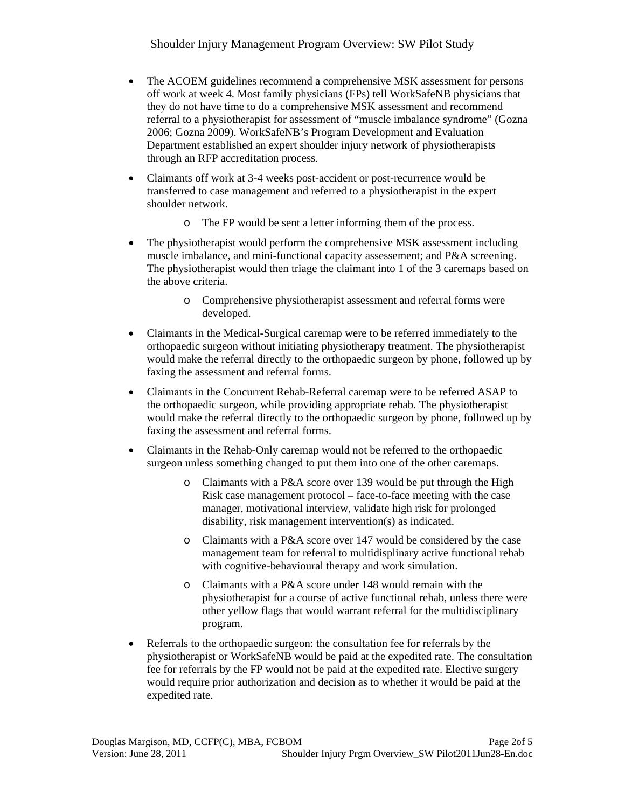## Shoulder Injury Management Program Overview: SW Pilot Study

- The ACOEM guidelines recommend a comprehensive MSK assessment for persons off work at week 4. Most family physicians (FPs) tell WorkSafeNB physicians that they do not have time to do a comprehensive MSK assessment and recommend referral to a physiotherapist for assessment of "muscle imbalance syndrome" (Gozna 2006; Gozna 2009). WorkSafeNB's Program Development and Evaluation Department established an expert shoulder injury network of physiotherapists through an RFP accreditation process.
- Claimants off work at 3-4 weeks post-accident or post-recurrence would be transferred to case management and referred to a physiotherapist in the expert shoulder network.
	- o The FP would be sent a letter informing them of the process.
- The physiotherapist would perform the comprehensive MSK assessment including muscle imbalance, and mini-functional capacity assessement; and P&A screening. The physiotherapist would then triage the claimant into 1 of the 3 caremaps based on the above criteria.
	- o Comprehensive physiotherapist assessment and referral forms were developed.
- Claimants in the Medical-Surgical caremap were to be referred immediately to the orthopaedic surgeon without initiating physiotherapy treatment. The physiotherapist would make the referral directly to the orthopaedic surgeon by phone, followed up by faxing the assessment and referral forms.
- Claimants in the Concurrent Rehab-Referral caremap were to be referred ASAP to the orthopaedic surgeon, while providing appropriate rehab. The physiotherapist would make the referral directly to the orthopaedic surgeon by phone, followed up by faxing the assessment and referral forms.
- Claimants in the Rehab-Only caremap would not be referred to the orthopaedic surgeon unless something changed to put them into one of the other caremaps.
	- o Claimants with a P&A score over 139 would be put through the High Risk case management protocol – face-to-face meeting with the case manager, motivational interview, validate high risk for prolonged disability, risk management intervention(s) as indicated.
	- o Claimants with a P&A score over 147 would be considered by the case management team for referral to multidisplinary active functional rehab with cognitive-behavioural therapy and work simulation.
	- o Claimants with a P&A score under 148 would remain with the physiotherapist for a course of active functional rehab, unless there were other yellow flags that would warrant referral for the multidisciplinary program.
- Referrals to the orthopaedic surgeon: the consultation fee for referrals by the physiotherapist or WorkSafeNB would be paid at the expedited rate. The consultation fee for referrals by the FP would not be paid at the expedited rate. Elective surgery would require prior authorization and decision as to whether it would be paid at the expedited rate.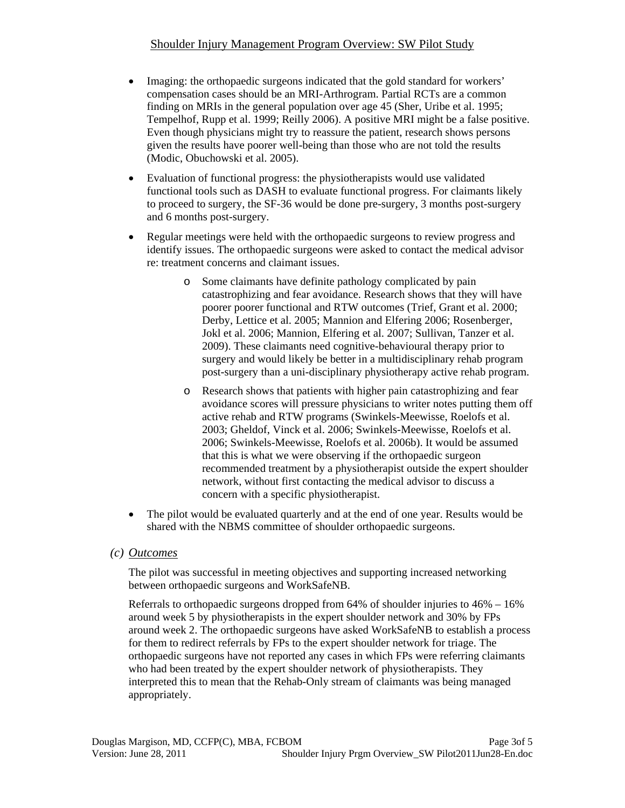## Shoulder Injury Management Program Overview: SW Pilot Study

- Imaging: the orthopaedic surgeons indicated that the gold standard for workers' compensation cases should be an MRI-Arthrogram. Partial RCTs are a common finding on MRIs in the general population over age 45 (Sher, Uribe et al. 1995; Tempelhof, Rupp et al. 1999; Reilly 2006). A positive MRI might be a false positive. Even though physicians might try to reassure the patient, research shows persons given the results have poorer well-being than those who are not told the results (Modic, Obuchowski et al. 2005).
- Evaluation of functional progress: the physiotherapists would use validated functional tools such as DASH to evaluate functional progress. For claimants likely to proceed to surgery, the SF-36 would be done pre-surgery, 3 months post-surgery and 6 months post-surgery.
- Regular meetings were held with the orthopaedic surgeons to review progress and identify issues. The orthopaedic surgeons were asked to contact the medical advisor re: treatment concerns and claimant issues.
	- o Some claimants have definite pathology complicated by pain catastrophizing and fear avoidance. Research shows that they will have poorer poorer functional and RTW outcomes (Trief, Grant et al. 2000; Derby, Lettice et al. 2005; Mannion and Elfering 2006; Rosenberger, Jokl et al. 2006; Mannion, Elfering et al. 2007; Sullivan, Tanzer et al. 2009). These claimants need cognitive-behavioural therapy prior to surgery and would likely be better in a multidisciplinary rehab program post-surgery than a uni-disciplinary physiotherapy active rehab program.
	- o Research shows that patients with higher pain catastrophizing and fear avoidance scores will pressure physicians to writer notes putting them off active rehab and RTW programs (Swinkels-Meewisse, Roelofs et al. 2003; Gheldof, Vinck et al. 2006; Swinkels-Meewisse, Roelofs et al. 2006; Swinkels-Meewisse, Roelofs et al. 2006b). It would be assumed that this is what we were observing if the orthopaedic surgeon recommended treatment by a physiotherapist outside the expert shoulder network, without first contacting the medical advisor to discuss a concern with a specific physiotherapist.
- The pilot would be evaluated quarterly and at the end of one year. Results would be shared with the NBMS committee of shoulder orthopaedic surgeons.

#### *(c) Outcomes*

The pilot was successful in meeting objectives and supporting increased networking between orthopaedic surgeons and WorkSafeNB.

Referrals to orthopaedic surgeons dropped from 64% of shoulder injuries to 46% – 16% around week 5 by physiotherapists in the expert shoulder network and 30% by FPs around week 2. The orthopaedic surgeons have asked WorkSafeNB to establish a process for them to redirect referrals by FPs to the expert shoulder network for triage. The orthopaedic surgeons have not reported any cases in which FPs were referring claimants who had been treated by the expert shoulder network of physiotherapists. They interpreted this to mean that the Rehab-Only stream of claimants was being managed appropriately.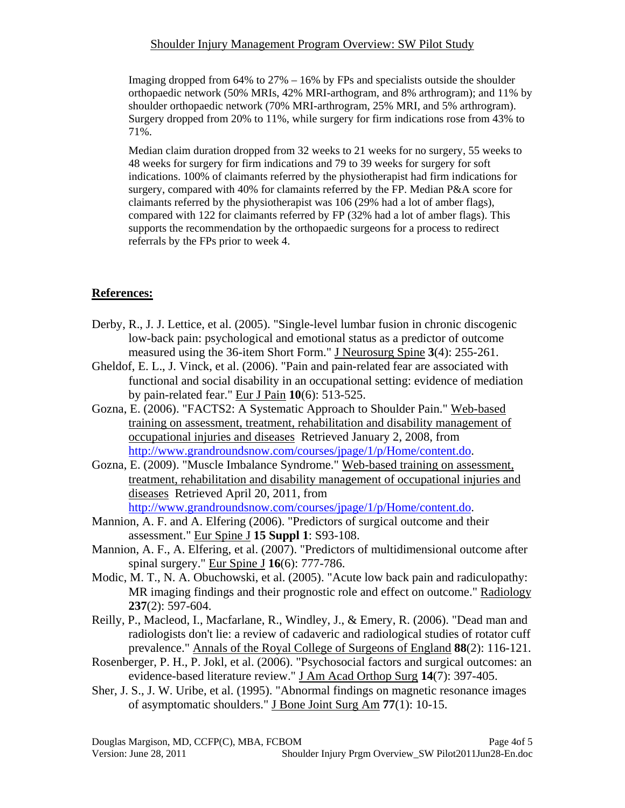#### Shoulder Injury Management Program Overview: SW Pilot Study

Imaging dropped from  $64\%$  to  $27\% - 16\%$  by FPs and specialists outside the shoulder orthopaedic network (50% MRIs, 42% MRI-arthogram, and 8% arthrogram); and 11% by shoulder orthopaedic network (70% MRI-arthrogram, 25% MRI, and 5% arthrogram). Surgery dropped from 20% to 11%, while surgery for firm indications rose from 43% to 71%.

Median claim duration dropped from 32 weeks to 21 weeks for no surgery, 55 weeks to 48 weeks for surgery for firm indications and 79 to 39 weeks for surgery for soft indications. 100% of claimants referred by the physiotherapist had firm indications for surgery, compared with 40% for clamaints referred by the FP. Median P&A score for claimants referred by the physiotherapist was 106 (29% had a lot of amber flags), compared with 122 for claimants referred by FP (32% had a lot of amber flags). This supports the recommendation by the orthopaedic surgeons for a process to redirect referrals by the FPs prior to week 4.

## **References:**

- Derby, R., J. J. Lettice, et al. (2005). "Single-level lumbar fusion in chronic discogenic low-back pain: psychological and emotional status as a predictor of outcome measured using the 36-item Short Form." J Neurosurg Spine **3**(4): 255-261.
- Gheldof, E. L., J. Vinck, et al. (2006). "Pain and pain-related fear are associated with functional and social disability in an occupational setting: evidence of mediation by pain-related fear." Eur J Pain **10**(6): 513-525.
- Gozna, E. (2006). "FACTS2: A Systematic Approach to Shoulder Pain." Web-based training on assessment, treatment, rehabilitation and disability management of occupational injuries and diseases Retrieved January 2, 2008, from http://www.grandroundsnow.com/courses/jpage/1/p/Home/content.do.
- Gozna, E. (2009). "Muscle Imbalance Syndrome." Web-based training on assessment, treatment, rehabilitation and disability management of occupational injuries and diseases Retrieved April 20, 2011, from http://www.grandroundsnow.com/courses/jpage/1/p/Home/content.do.
- Mannion, A. F. and A. Elfering (2006). "Predictors of surgical outcome and their assessment." Eur Spine J **15 Suppl 1**: S93-108.
- Mannion, A. F., A. Elfering, et al. (2007). "Predictors of multidimensional outcome after spinal surgery." Eur Spine J **16**(6): 777-786.
- Modic, M. T., N. A. Obuchowski, et al. (2005). "Acute low back pain and radiculopathy: MR imaging findings and their prognostic role and effect on outcome." Radiology **237**(2): 597-604.
- Reilly, P., Macleod, I., Macfarlane, R., Windley, J., & Emery, R. (2006). "Dead man and radiologists don't lie: a review of cadaveric and radiological studies of rotator cuff prevalence." Annals of the Royal College of Surgeons of England **88**(2): 116-121.
- Rosenberger, P. H., P. Jokl, et al. (2006). "Psychosocial factors and surgical outcomes: an evidence-based literature review." J Am Acad Orthop Surg **14**(7): 397-405.
- Sher, J. S., J. W. Uribe, et al. (1995). "Abnormal findings on magnetic resonance images of asymptomatic shoulders." J Bone Joint Surg Am **77**(1): 10-15.